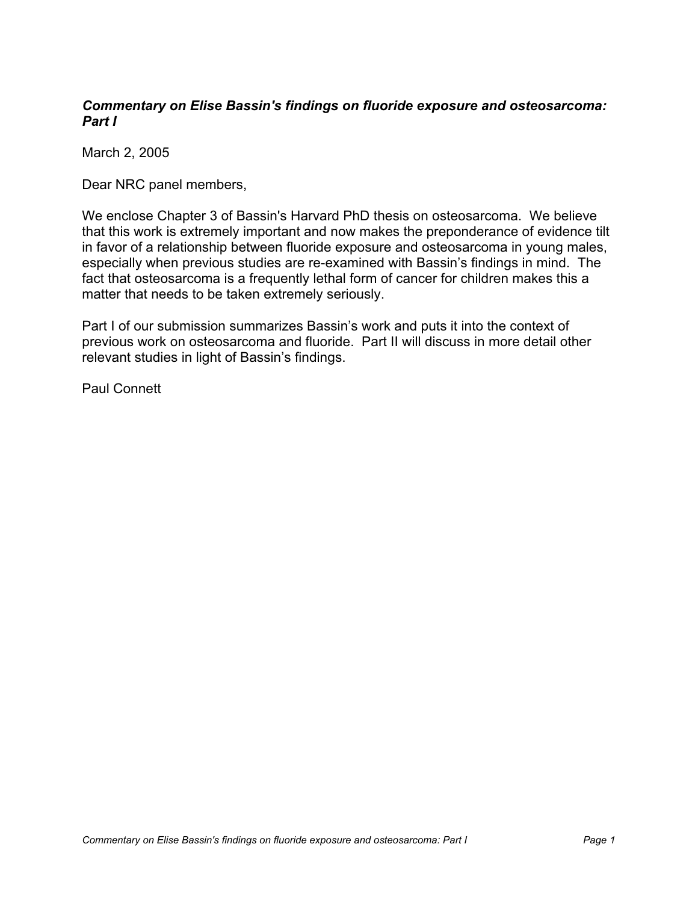## **Commentary on Elise Bassin's findings on fluoride exposure and osteosarcoma: Part I**

March 2, 2005

Dear NRC panel members,

We enclose Chapter 3 of Bassin's Harvard PhD thesis on osteosarcoma. We believe that this work is extremely important and now makes the preponderance of evidence tilt in favor of a relationship between fluoride exposure and osteosarcoma in young males, especially when previous studies are re-examined with Bassin's findings in mind. The fact that osteosarcoma is a frequently lethal form of cancer for children makes this a matter that needs to be taken extremely seriously.

Part I of our submission summarizes Bassin's work and puts it into the context of previous work on osteosarcoma and fluoride. Part II will discuss in more detail other relevant studies in light of Bassin's findings.

Paul Connett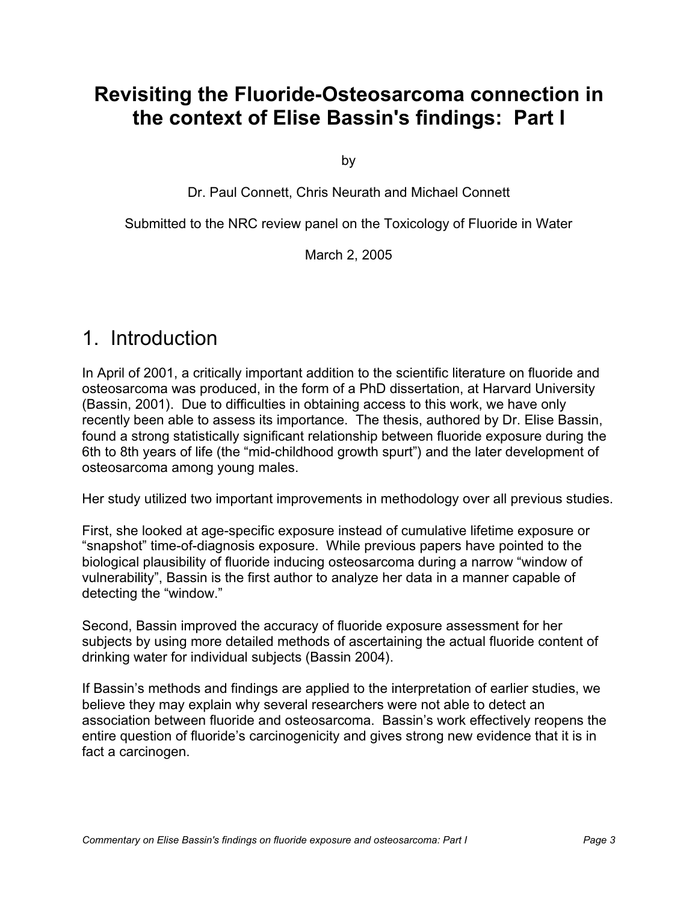# **Revisiting the Fluoride-Osteosarcoma connection in the context of Elise Bassin's findings: Part I**

by

Dr. Paul Connett, Chris Neurath and Michael Connett

Submitted to the NRC review panel on the Toxicology of Fluoride in Water

March 2, 2005

# 1. Introduction

In April of 2001, a critically important addition to the scientific literature on fluoride and osteosarcoma was produced, in the form of a PhD dissertation, at Harvard University (Bassin, 2001). Due to difficulties in obtaining access to this work, we have only recently been able to assess its importance. The thesis, authored by Dr. Elise Bassin, found a strong statistically significant relationship between fluoride exposure during the 6th to 8th years of life (the "mid-childhood growth spurt") and the later development of osteosarcoma among young males.

Her study utilized two important improvements in methodology over all previous studies.

First, she looked at age-specific exposure instead of cumulative lifetime exposure or "snapshot" time-of-diagnosis exposure. While previous papers have pointed to the biological plausibility of fluoride inducing osteosarcoma during a narrow "window of vulnerability", Bassin is the first author to analyze her data in a manner capable of detecting the "window."

Second, Bassin improved the accuracy of fluoride exposure assessment for her subjects by using more detailed methods of ascertaining the actual fluoride content of drinking water for individual subjects (Bassin 2004).

If Bassin's methods and findings are applied to the interpretation of earlier studies, we believe they may explain why several researchers were not able to detect an association between fluoride and osteosarcoma. Bassin's work effectively reopens the entire question of fluoride's carcinogenicity and gives strong new evidence that it is in fact a carcinogen.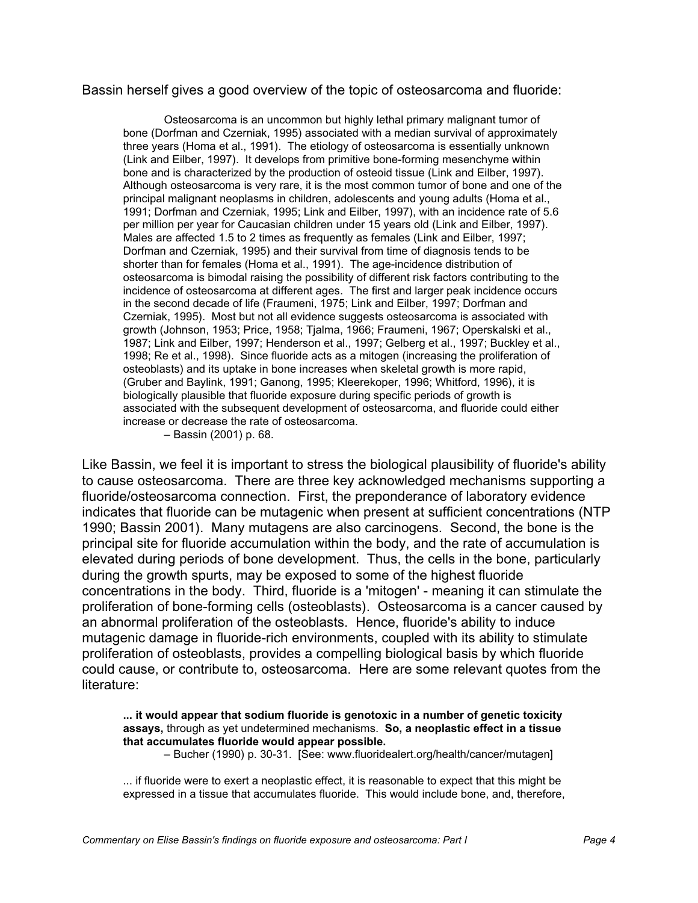## Bassin herself gives a good overview of the topic of osteosarcoma and fluoride:

Osteosarcoma is an uncommon but highly lethal primary malignant tumor of bone (Dorfman and Czerniak, 1995) associated with a median survival of approximately three years (Homa et al., 1991). The etiology of osteosarcoma is essentially unknown (Link and Eilber, 1997). It develops from primitive bone-forming mesenchyme within bone and is characterized by the production of osteoid tissue (Link and Eilber, 1997). Although osteosarcoma is very rare, it is the most common tumor of bone and one of the principal malignant neoplasms in children, adolescents and young adults (Homa et al., 1991; Dorfman and Czerniak, 1995; Link and Eilber, 1997), with an incidence rate of 5.6 per million per year for Caucasian children under 15 years old (Link and Eilber, 1997). Males are affected 1.5 to 2 times as frequently as females (Link and Eilber, 1997; Dorfman and Czerniak, 1995) and their survival from time of diagnosis tends to be shorter than for females (Homa et al., 1991). The age-incidence distribution of osteosarcoma is bimodal raising the possibility of different risk factors contributing to the incidence of osteosarcoma at different ages. The first and larger peak incidence occurs in the second decade of life (Fraumeni, 1975; Link and Eilber, 1997; Dorfman and Czerniak, 1995). Most but not all evidence suggests osteosarcoma is associated with growth (Johnson, 1953; Price, 1958; Tjalma, 1966; Fraumeni, 1967; Operskalski et al., 1987; Link and Eilber, 1997; Henderson et al., 1997; Gelberg et al., 1997; Buckley et al., 1998; Re et al., 1998). Since fluoride acts as a mitogen (increasing the proliferation of osteoblasts) and its uptake in bone increases when skeletal growth is more rapid, (Gruber and Baylink, 1991; Ganong, 1995; Kleerekoper, 1996; Whitford, 1996), it is biologically plausible that fluoride exposure during specific periods of growth is associated with the subsequent development of osteosarcoma, and fluoride could either increase or decrease the rate of osteosarcoma.

– Bassin (2001) p. 68.

Like Bassin, we feel it is important to stress the biological plausibility of fluoride's ability to cause osteosarcoma. There are three key acknowledged mechanisms supporting a fluoride/osteosarcoma connection. First, the preponderance of laboratory evidence indicates that fluoride can be mutagenic when present at sufficient concentrations (NTP 1990; Bassin 2001). Many mutagens are also carcinogens. Second, the bone is the principal site for fluoride accumulation within the body, and the rate of accumulation is elevated during periods of bone development. Thus, the cells in the bone, particularly during the growth spurts, may be exposed to some of the highest fluoride concentrations in the body. Third, fluoride is a 'mitogen' - meaning it can stimulate the proliferation of bone-forming cells (osteoblasts). Osteosarcoma is a cancer caused by an abnormal proliferation of the osteoblasts. Hence, fluoride's ability to induce mutagenic damage in fluoride-rich environments, coupled with its ability to stimulate proliferation of osteoblasts, provides a compelling biological basis by which fluoride could cause, or contribute to, osteosarcoma. Here are some relevant quotes from the literature:

### **... it would appear that sodium fluoride is genotoxic in a number of genetic toxicity assays,** through as yet undetermined mechanisms. **So, a neoplastic effect in a tissue that accumulates fluoride would appear possible.**

– Bucher (1990) p. 30-31. [See: www.fluoridealert.org/health/cancer/mutagen]

... if fluoride were to exert a neoplastic effect, it is reasonable to expect that this might be expressed in a tissue that accumulates fluoride. This would include bone, and, therefore,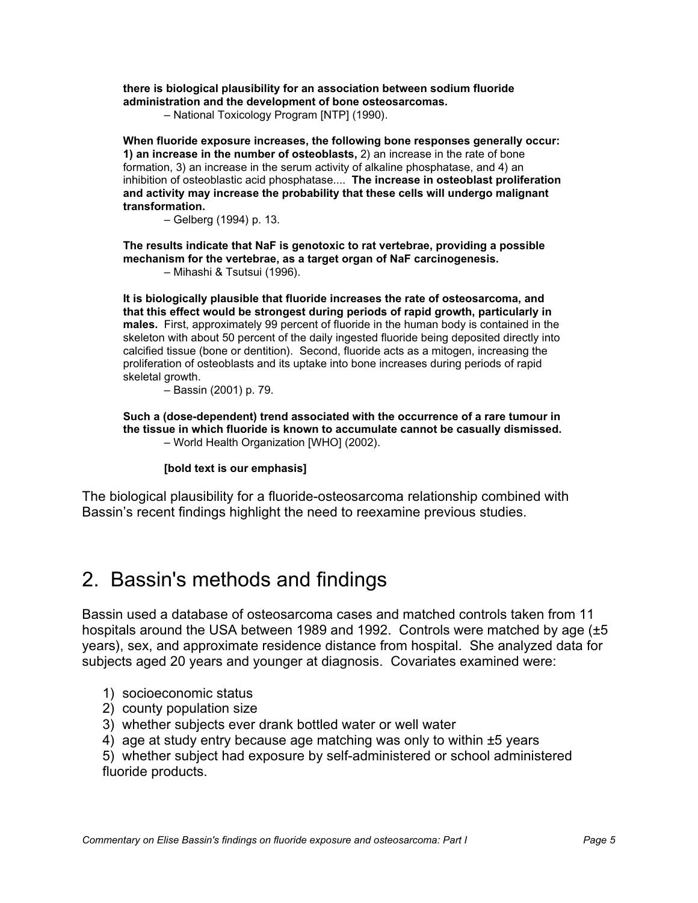**there is biological plausibility for an association between sodium fluoride administration and the development of bone osteosarcomas.**

– National Toxicology Program [NTP] (1990).

**When fluoride exposure increases, the following bone responses generally occur: 1) an increase in the number of osteoblasts,** 2) an increase in the rate of bone formation, 3) an increase in the serum activity of alkaline phosphatase, and 4) an inhibition of osteoblastic acid phosphatase.... **The increase in osteoblast proliferation and activity may increase the probability that these cells will undergo malignant transformation.**

– Gelberg (1994) p. 13.

**The results indicate that NaF is genotoxic to rat vertebrae, providing a possible mechanism for the vertebrae, as a target organ of NaF carcinogenesis.**

– Mihashi & Tsutsui (1996).

**It is biologically plausible that fluoride increases the rate of osteosarcoma, and that this effect would be strongest during periods of rapid growth, particularly in males.** First, approximately 99 percent of fluoride in the human body is contained in the skeleton with about 50 percent of the daily ingested fluoride being deposited directly into calcified tissue (bone or dentition). Second, fluoride acts as a mitogen, increasing the proliferation of osteoblasts and its uptake into bone increases during periods of rapid skeletal growth.

– Bassin (2001) p. 79.

**Such a (dose-dependent) trend associated with the occurrence of a rare tumour in the tissue in which fluoride is known to accumulate cannot be casually dismissed.** – World Health Organization [WHO] (2002).

#### **[bold text is our emphasis]**

The biological plausibility for a fluoride-osteosarcoma relationship combined with Bassin's recent findings highlight the need to reexamine previous studies.

## 2. Bassin's methods and findings

Bassin used a database of osteosarcoma cases and matched controls taken from 11 hospitals around the USA between 1989 and 1992. Controls were matched by age (±5 years), sex, and approximate residence distance from hospital. She analyzed data for subjects aged 20 years and younger at diagnosis. Covariates examined were:

- 1) socioeconomic status
- 2) county population size
- 3) whether subjects ever drank bottled water or well water
- 4) age at study entry because age matching was only to within  $\pm 5$  years

5) whether subject had exposure by self-administered or school administered fluoride products.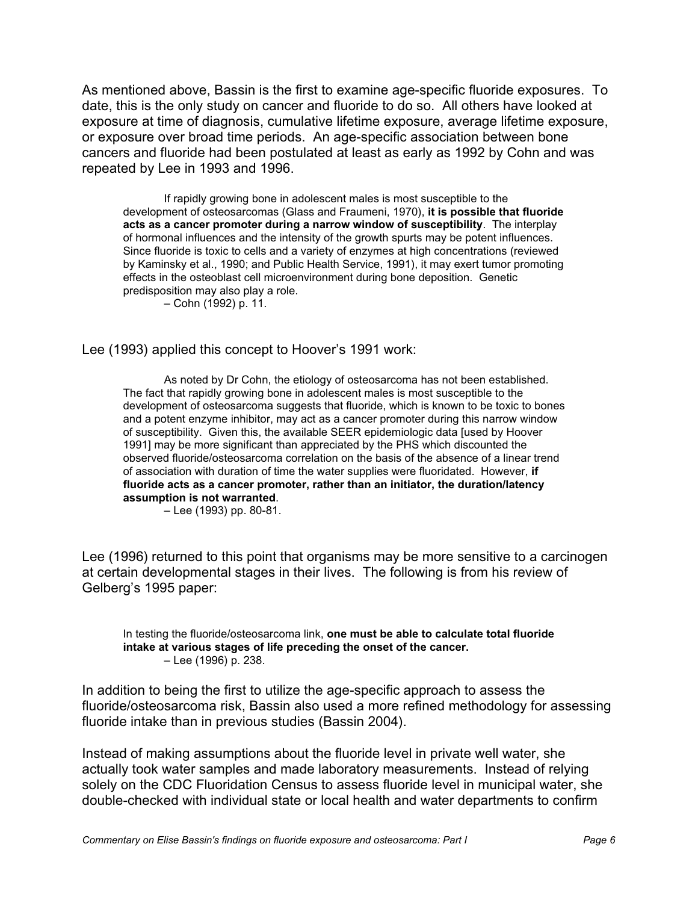As mentioned above, Bassin is the first to examine age-specific fluoride exposures. To date, this is the only study on cancer and fluoride to do so. All others have looked at exposure at time of diagnosis, cumulative lifetime exposure, average lifetime exposure, or exposure over broad time periods. An age-specific association between bone cancers and fluoride had been postulated at least as early as 1992 by Cohn and was repeated by Lee in 1993 and 1996.

If rapidly growing bone in adolescent males is most susceptible to the development of osteosarcomas (Glass and Fraumeni, 1970), **it is possible that fluoride acts as a cancer promoter during a narrow window of susceptibility**. The interplay of hormonal influences and the intensity of the growth spurts may be potent influences. Since fluoride is toxic to cells and a variety of enzymes at high concentrations (reviewed by Kaminsky et al., 1990; and Public Health Service, 1991), it may exert tumor promoting effects in the osteoblast cell microenvironment during bone deposition. Genetic predisposition may also play a role.

– Cohn (1992) p. 11.

## Lee (1993) applied this concept to Hoover's 1991 work:

As noted by Dr Cohn, the etiology of osteosarcoma has not been established. The fact that rapidly growing bone in adolescent males is most susceptible to the development of osteosarcoma suggests that fluoride, which is known to be toxic to bones and a potent enzyme inhibitor, may act as a cancer promoter during this narrow window of susceptibility. Given this, the available SEER epidemiologic data [used by Hoover 1991] may be more significant than appreciated by the PHS which discounted the observed fluoride/osteosarcoma correlation on the basis of the absence of a linear trend of association with duration of time the water supplies were fluoridated. However, **if fluoride acts as a cancer promoter, rather than an initiator, the duration/latency assumption is not warranted**.

– Lee (1993) pp. 80-81.

Lee (1996) returned to this point that organisms may be more sensitive to a carcinogen at certain developmental stages in their lives. The following is from his review of Gelberg's 1995 paper:

In testing the fluoride/osteosarcoma link, **one must be able to calculate total fluoride intake at various stages of life preceding the onset of the cancer.** – Lee (1996) p. 238.

In addition to being the first to utilize the age-specific approach to assess the fluoride/osteosarcoma risk, Bassin also used a more refined methodology for assessing fluoride intake than in previous studies (Bassin 2004).

Instead of making assumptions about the fluoride level in private well water, she actually took water samples and made laboratory measurements. Instead of relying solely on the CDC Fluoridation Census to assess fluoride level in municipal water, she double-checked with individual state or local health and water departments to confirm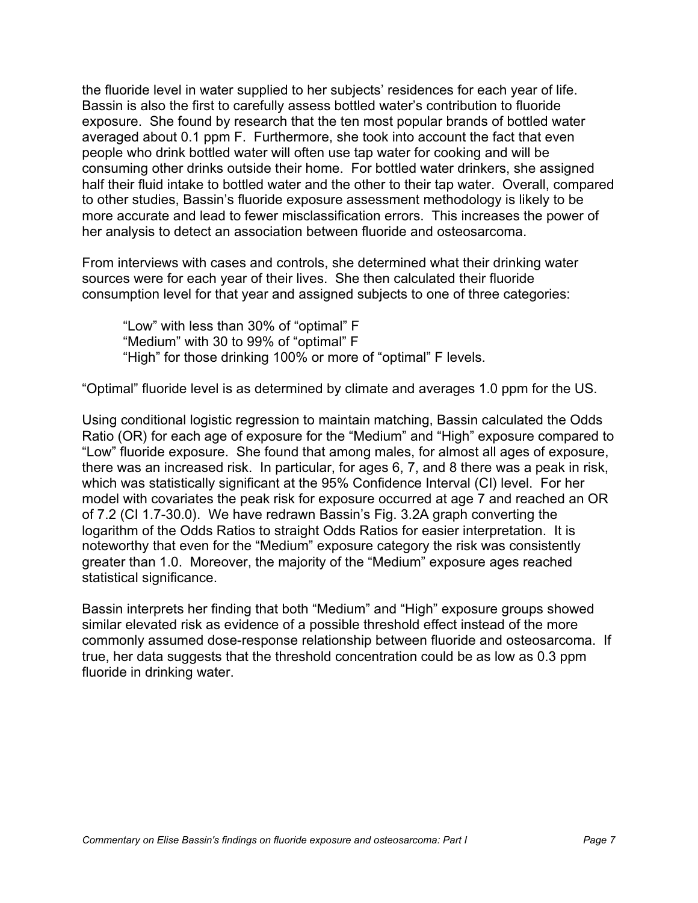the fluoride level in water supplied to her subjects' residences for each year of life. Bassin is also the first to carefully assess bottled water's contribution to fluoride exposure. She found by research that the ten most popular brands of bottled water averaged about 0.1 ppm F. Furthermore, she took into account the fact that even people who drink bottled water will often use tap water for cooking and will be consuming other drinks outside their home. For bottled water drinkers, she assigned half their fluid intake to bottled water and the other to their tap water. Overall, compared to other studies, Bassin's fluoride exposure assessment methodology is likely to be more accurate and lead to fewer misclassification errors. This increases the power of her analysis to detect an association between fluoride and osteosarcoma.

From interviews with cases and controls, she determined what their drinking water sources were for each year of their lives. She then calculated their fluoride consumption level for that year and assigned subjects to one of three categories:

"Low" with less than 30% of "optimal" F "Medium" with 30 to 99% of "optimal" F "High" for those drinking 100% or more of "optimal" F levels.

"Optimal" fluoride level is as determined by climate and averages 1.0 ppm for the US.

Using conditional logistic regression to maintain matching, Bassin calculated the Odds Ratio (OR) for each age of exposure for the "Medium" and "High" exposure compared to "Low" fluoride exposure. She found that among males, for almost all ages of exposure, there was an increased risk. In particular, for ages 6, 7, and 8 there was a peak in risk, which was statistically significant at the 95% Confidence Interval (CI) level. For her model with covariates the peak risk for exposure occurred at age 7 and reached an OR of 7.2 (CI 1.7-30.0). We have redrawn Bassin's Fig. 3.2A graph converting the logarithm of the Odds Ratios to straight Odds Ratios for easier interpretation. It is noteworthy that even for the "Medium" exposure category the risk was consistently greater than 1.0. Moreover, the majority of the "Medium" exposure ages reached statistical significance.

Bassin interprets her finding that both "Medium" and "High" exposure groups showed similar elevated risk as evidence of a possible threshold effect instead of the more commonly assumed dose-response relationship between fluoride and osteosarcoma. If true, her data suggests that the threshold concentration could be as low as 0.3 ppm fluoride in drinking water.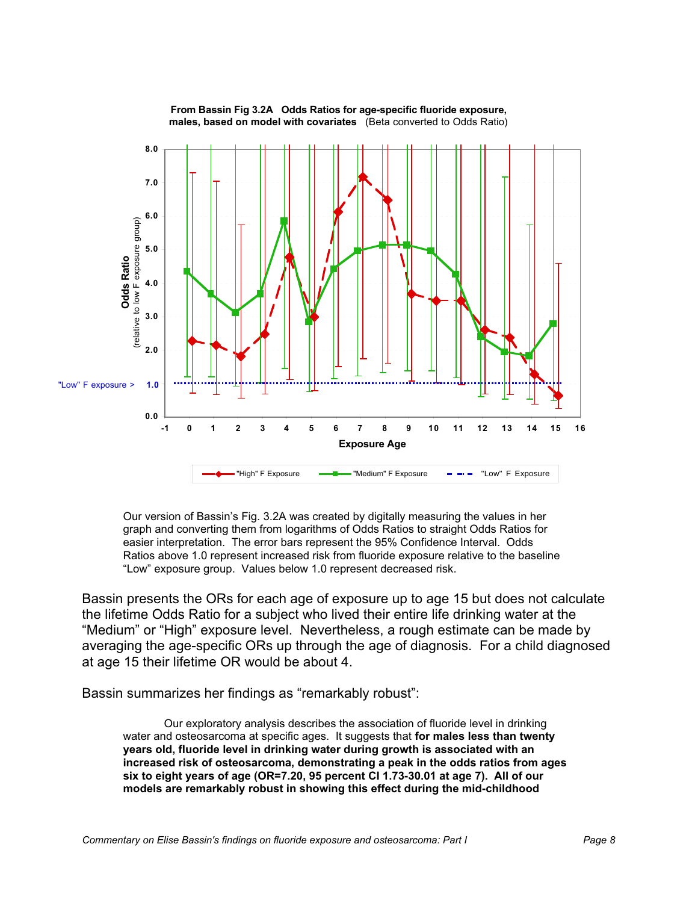

**From Bassin Fig 3.2A Odds Ratios for age-specific fluoride exposure, males, based on model with covariates** (Beta converted to Odds Ratio)

Our version of Bassin's Fig. 3.2A was created by digitally measuring the values in her graph and converting them from logarithms of Odds Ratios to straight Odds Ratios for easier interpretation. The error bars represent the 95% Confidence Interval. Odds Ratios above 1.0 represent increased risk from fluoride exposure relative to the baseline "Low" exposure group. Values below 1.0 represent decreased risk.

Bassin presents the ORs for each age of exposure up to age 15 but does not calculate the lifetime Odds Ratio for a subject who lived their entire life drinking water at the "Medium" or "High" exposure level. Nevertheless, a rough estimate can be made by averaging the age-specific ORs up through the age of diagnosis. For a child diagnosed at age 15 their lifetime OR would be about 4.

Bassin summarizes her findings as "remarkably robust":

Our exploratory analysis describes the association of fluoride level in drinking water and osteosarcoma at specific ages. It suggests that **for males less than twenty years old, fluoride level in drinking water during growth is associated with an increased risk of osteosarcoma, demonstrating a peak in the odds ratios from ages six to eight years of age (OR=7.20, 95 percent CI 1.73-30.01 at age 7). All of our models are remarkably robust in showing this effect during the mid-childhood**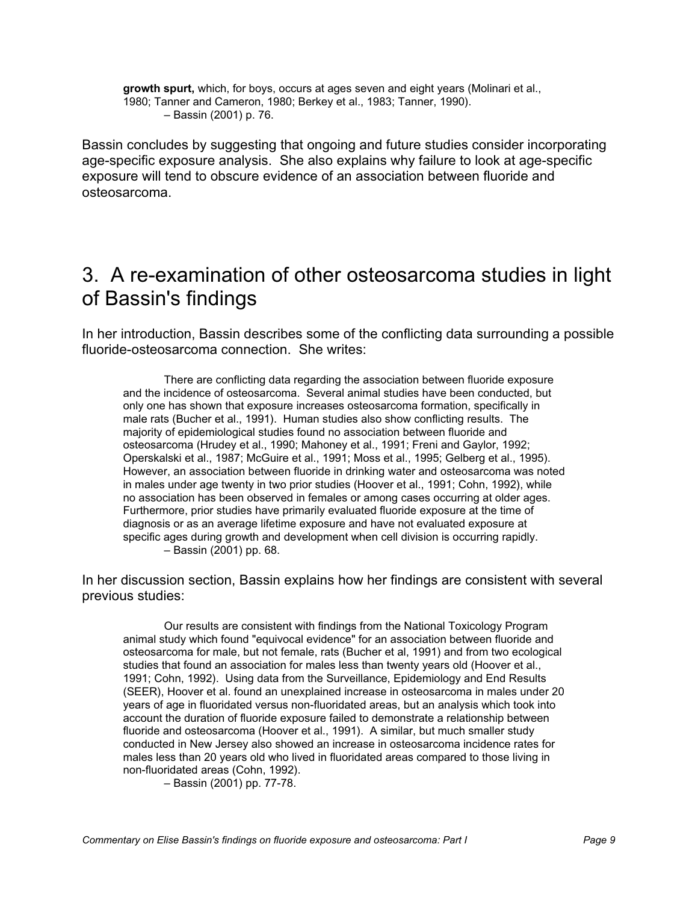**growth spurt,** which, for boys, occurs at ages seven and eight years (Molinari et al., 1980; Tanner and Cameron, 1980; Berkey et al., 1983; Tanner, 1990). – Bassin (2001) p. 76.

Bassin concludes by suggesting that ongoing and future studies consider incorporating age-specific exposure analysis. She also explains why failure to look at age-specific exposure will tend to obscure evidence of an association between fluoride and osteosarcoma.

# 3. A re-examination of other osteosarcoma studies in light of Bassin's findings

In her introduction, Bassin describes some of the conflicting data surrounding a possible fluoride-osteosarcoma connection. She writes:

There are conflicting data regarding the association between fluoride exposure and the incidence of osteosarcoma. Several animal studies have been conducted, but only one has shown that exposure increases osteosarcoma formation, specifically in male rats (Bucher et al., 1991). Human studies also show conflicting results. The majority of epidemiological studies found no association between fluoride and osteosarcoma (Hrudey et al., 1990; Mahoney et al., 1991; Freni and Gaylor, 1992; Operskalski et al., 1987; McGuire et al., 1991; Moss et al., 1995; Gelberg et al., 1995). However, an association between fluoride in drinking water and osteosarcoma was noted in males under age twenty in two prior studies (Hoover et al., 1991; Cohn, 1992), while no association has been observed in females or among cases occurring at older ages. Furthermore, prior studies have primarily evaluated fluoride exposure at the time of diagnosis or as an average lifetime exposure and have not evaluated exposure at specific ages during growth and development when cell division is occurring rapidly. – Bassin (2001) pp. 68.

In her discussion section, Bassin explains how her findings are consistent with several previous studies:

Our results are consistent with findings from the National Toxicology Program animal study which found "equivocal evidence" for an association between fluoride and osteosarcoma for male, but not female, rats (Bucher et al, 1991) and from two ecological studies that found an association for males less than twenty years old (Hoover et al., 1991; Cohn, 1992). Using data from the Surveillance, Epidemiology and End Results (SEER), Hoover et al. found an unexplained increase in osteosarcoma in males under 20 years of age in fluoridated versus non-fluoridated areas, but an analysis which took into account the duration of fluoride exposure failed to demonstrate a relationship between fluoride and osteosarcoma (Hoover et al., 1991). A similar, but much smaller study conducted in New Jersey also showed an increase in osteosarcoma incidence rates for males less than 20 years old who lived in fluoridated areas compared to those living in non-fluoridated areas (Cohn, 1992).

– Bassin (2001) pp. 77-78.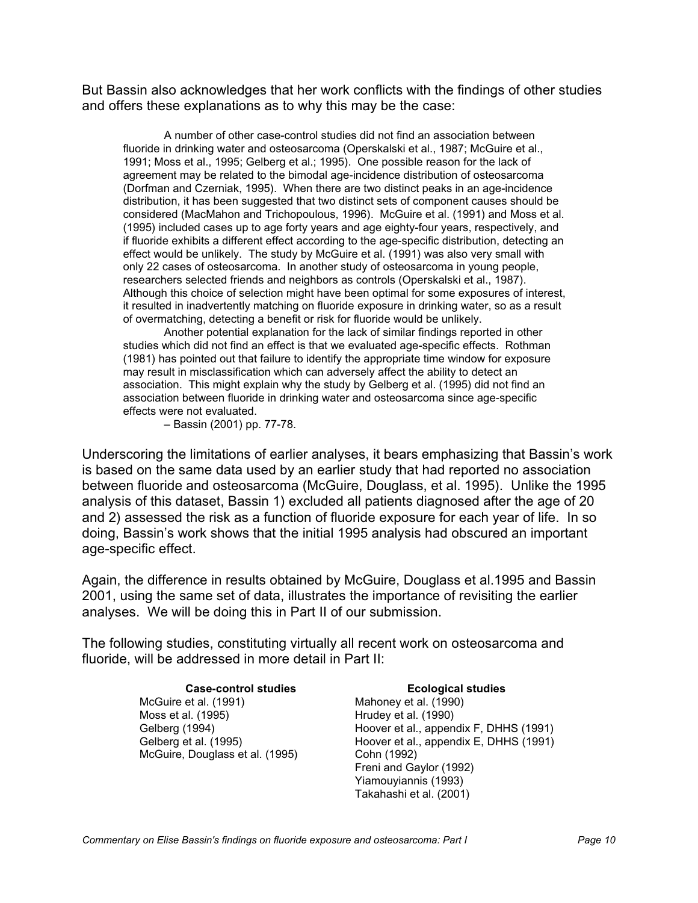But Bassin also acknowledges that her work conflicts with the findings of other studies and offers these explanations as to why this may be the case:

A number of other case-control studies did not find an association between fluoride in drinking water and osteosarcoma (Operskalski et al., 1987; McGuire et al., 1991; Moss et al., 1995; Gelberg et al.; 1995). One possible reason for the lack of agreement may be related to the bimodal age-incidence distribution of osteosarcoma (Dorfman and Czerniak, 1995). When there are two distinct peaks in an age-incidence distribution, it has been suggested that two distinct sets of component causes should be considered (MacMahon and Trichopoulous, 1996). McGuire et al. (1991) and Moss et al. (1995) included cases up to age forty years and age eighty-four years, respectively, and if fluoride exhibits a different effect according to the age-specific distribution, detecting an effect would be unlikely. The study by McGuire et al. (1991) was also very small with only 22 cases of osteosarcoma. In another study of osteosarcoma in young people, researchers selected friends and neighbors as controls (Operskalski et al., 1987). Although this choice of selection might have been optimal for some exposures of interest, it resulted in inadvertently matching on fluoride exposure in drinking water, so as a result of overmatching, detecting a benefit or risk for fluoride would be unlikely.

Another potential explanation for the lack of similar findings reported in other studies which did not find an effect is that we evaluated age-specific effects. Rothman (1981) has pointed out that failure to identify the appropriate time window for exposure may result in misclassification which can adversely affect the ability to detect an association. This might explain why the study by Gelberg et al. (1995) did not find an association between fluoride in drinking water and osteosarcoma since age-specific effects were not evaluated.

– Bassin (2001) pp. 77-78.

Underscoring the limitations of earlier analyses, it bears emphasizing that Bassin's work is based on the same data used by an earlier study that had reported no association between fluoride and osteosarcoma (McGuire, Douglass, et al. 1995). Unlike the 1995 analysis of this dataset, Bassin 1) excluded all patients diagnosed after the age of 20 and 2) assessed the risk as a function of fluoride exposure for each year of life. In so doing, Bassin's work shows that the initial 1995 analysis had obscured an important age-specific effect.

Again, the difference in results obtained by McGuire, Douglass et al.1995 and Bassin 2001, using the same set of data, illustrates the importance of revisiting the earlier analyses. We will be doing this in Part II of our submission.

The following studies, constituting virtually all recent work on osteosarcoma and fluoride, will be addressed in more detail in Part II:

> **Case-control studies Ecological studies** McGuire et al. (1991) Mahoney et al. (1990) Moss et al. (1995) Moss et al. (1990) McGuire, Douglass et al. (1995) Cohn (1992)

Gelberg (1994) **Hoover et al., appendix F, DHHS (1991)** Hoover et al., appendix F, DHHS (1991) Gelberg et al. (1995) **Hoover et al., appendix E, DHHS (1991)** Hoover et al., appendix E, DHHS (1991) Freni and Gaylor (1992) Yiamouyiannis (1993) Takahashi et al. (2001)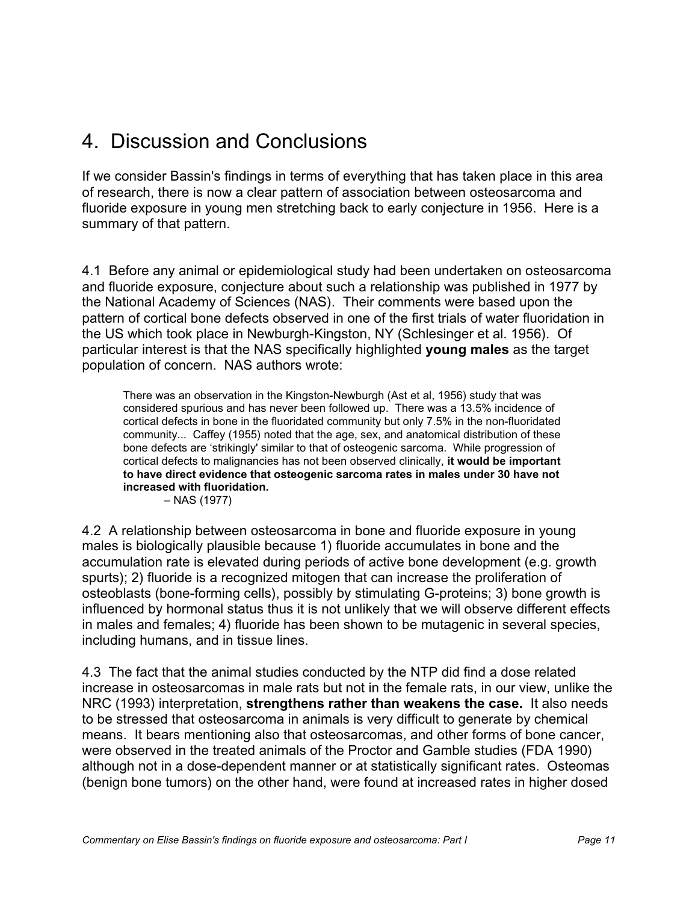# 4. Discussion and Conclusions

If we consider Bassin's findings in terms of everything that has taken place in this area of research, there is now a clear pattern of association between osteosarcoma and fluoride exposure in young men stretching back to early conjecture in 1956. Here is a summary of that pattern.

4.1 Before any animal or epidemiological study had been undertaken on osteosarcoma and fluoride exposure, conjecture about such a relationship was published in 1977 by the National Academy of Sciences (NAS). Their comments were based upon the pattern of cortical bone defects observed in one of the first trials of water fluoridation in the US which took place in Newburgh-Kingston, NY (Schlesinger et al. 1956). Of particular interest is that the NAS specifically highlighted **young males** as the target population of concern. NAS authors wrote:

There was an observation in the Kingston-Newburgh (Ast et al, 1956) study that was considered spurious and has never been followed up. There was a 13.5% incidence of cortical defects in bone in the fluoridated community but only 7.5% in the non-fluoridated community... Caffey (1955) noted that the age, sex, and anatomical distribution of these bone defects are 'strikingly' similar to that of osteogenic sarcoma. While progression of cortical defects to malignancies has not been observed clinically, **it would be important to have direct evidence that osteogenic sarcoma rates in males under 30 have not increased with fluoridation.**

– NAS (1977)

4.2 A relationship between osteosarcoma in bone and fluoride exposure in young males is biologically plausible because 1) fluoride accumulates in bone and the accumulation rate is elevated during periods of active bone development (e.g. growth spurts); 2) fluoride is a recognized mitogen that can increase the proliferation of osteoblasts (bone-forming cells), possibly by stimulating G-proteins; 3) bone growth is influenced by hormonal status thus it is not unlikely that we will observe different effects in males and females; 4) fluoride has been shown to be mutagenic in several species, including humans, and in tissue lines.

4.3 The fact that the animal studies conducted by the NTP did find a dose related increase in osteosarcomas in male rats but not in the female rats, in our view, unlike the NRC (1993) interpretation, **strengthens rather than weakens the case.** It also needs to be stressed that osteosarcoma in animals is very difficult to generate by chemical means. It bears mentioning also that osteosarcomas, and other forms of bone cancer, were observed in the treated animals of the Proctor and Gamble studies (FDA 1990) although not in a dose-dependent manner or at statistically significant rates. Osteomas (benign bone tumors) on the other hand, were found at increased rates in higher dosed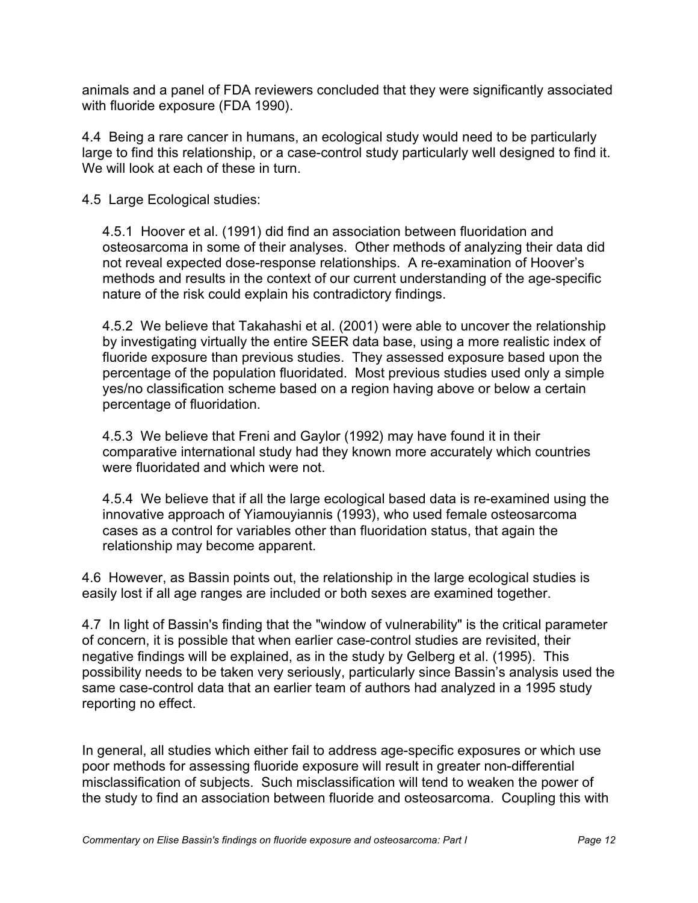animals and a panel of FDA reviewers concluded that they were significantly associated with fluoride exposure (FDA 1990).

4.4 Being a rare cancer in humans, an ecological study would need to be particularly large to find this relationship, or a case-control study particularly well designed to find it. We will look at each of these in turn.

4.5 Large Ecological studies:

4.5.1 Hoover et al. (1991) did find an association between fluoridation and osteosarcoma in some of their analyses. Other methods of analyzing their data did not reveal expected dose-response relationships. A re-examination of Hoover's methods and results in the context of our current understanding of the age-specific nature of the risk could explain his contradictory findings.

4.5.2 We believe that Takahashi et al. (2001) were able to uncover the relationship by investigating virtually the entire SEER data base, using a more realistic index of fluoride exposure than previous studies. They assessed exposure based upon the percentage of the population fluoridated. Most previous studies used only a simple yes/no classification scheme based on a region having above or below a certain percentage of fluoridation.

4.5.3 We believe that Freni and Gaylor (1992) may have found it in their comparative international study had they known more accurately which countries were fluoridated and which were not.

4.5.4 We believe that if all the large ecological based data is re-examined using the innovative approach of Yiamouyiannis (1993), who used female osteosarcoma cases as a control for variables other than fluoridation status, that again the relationship may become apparent.

4.6 However, as Bassin points out, the relationship in the large ecological studies is easily lost if all age ranges are included or both sexes are examined together.

4.7 In light of Bassin's finding that the "window of vulnerability" is the critical parameter of concern, it is possible that when earlier case-control studies are revisited, their negative findings will be explained, as in the study by Gelberg et al. (1995). This possibility needs to be taken very seriously, particularly since Bassin's analysis used the same case-control data that an earlier team of authors had analyzed in a 1995 study reporting no effect.

In general, all studies which either fail to address age-specific exposures or which use poor methods for assessing fluoride exposure will result in greater non-differential misclassification of subjects. Such misclassification will tend to weaken the power of the study to find an association between fluoride and osteosarcoma. Coupling this with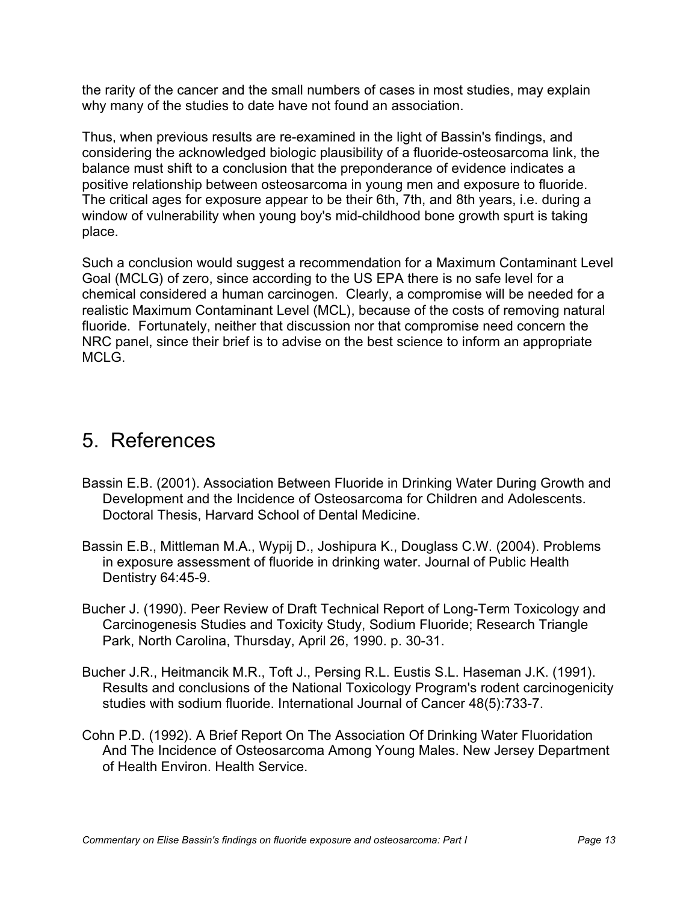the rarity of the cancer and the small numbers of cases in most studies, may explain why many of the studies to date have not found an association.

Thus, when previous results are re-examined in the light of Bassin's findings, and considering the acknowledged biologic plausibility of a fluoride-osteosarcoma link, the balance must shift to a conclusion that the preponderance of evidence indicates a positive relationship between osteosarcoma in young men and exposure to fluoride. The critical ages for exposure appear to be their 6th, 7th, and 8th years, i.e. during a window of vulnerability when young boy's mid-childhood bone growth spurt is taking place.

Such a conclusion would suggest a recommendation for a Maximum Contaminant Level Goal (MCLG) of zero, since according to the US EPA there is no safe level for a chemical considered a human carcinogen. Clearly, a compromise will be needed for a realistic Maximum Contaminant Level (MCL), because of the costs of removing natural fluoride. Fortunately, neither that discussion nor that compromise need concern the NRC panel, since their brief is to advise on the best science to inform an appropriate MCLG.

## 5. References

- Bassin E.B. (2001). Association Between Fluoride in Drinking Water During Growth and Development and the Incidence of Osteosarcoma for Children and Adolescents. Doctoral Thesis, Harvard School of Dental Medicine.
- Bassin E.B., Mittleman M.A., Wypij D., Joshipura K., Douglass C.W. (2004). Problems in exposure assessment of fluoride in drinking water. Journal of Public Health Dentistry 64:45-9.
- Bucher J. (1990). Peer Review of Draft Technical Report of Long-Term Toxicology and Carcinogenesis Studies and Toxicity Study, Sodium Fluoride; Research Triangle Park, North Carolina, Thursday, April 26, 1990. p. 30-31.
- Bucher J.R., Heitmancik M.R., Toft J., Persing R.L. Eustis S.L. Haseman J.K. (1991). Results and conclusions of the National Toxicology Program's rodent carcinogenicity studies with sodium fluoride. International Journal of Cancer 48(5):733-7.
- Cohn P.D. (1992). A Brief Report On The Association Of Drinking Water Fluoridation And The Incidence of Osteosarcoma Among Young Males. New Jersey Department of Health Environ. Health Service.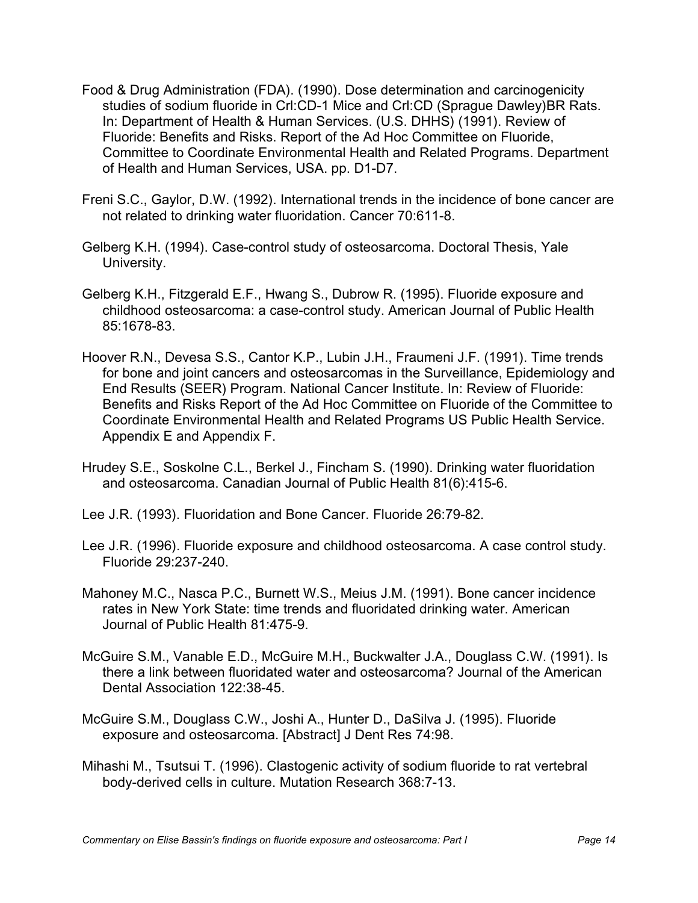- Food & Drug Administration (FDA). (1990). Dose determination and carcinogenicity studies of sodium fluoride in Crl:CD-1 Mice and Crl:CD (Sprague Dawley)BR Rats. In: Department of Health & Human Services. (U.S. DHHS) (1991). Review of Fluoride: Benefits and Risks. Report of the Ad Hoc Committee on Fluoride, Committee to Coordinate Environmental Health and Related Programs. Department of Health and Human Services, USA. pp. D1-D7.
- Freni S.C., Gaylor, D.W. (1992). International trends in the incidence of bone cancer are not related to drinking water fluoridation. Cancer 70:611-8.
- Gelberg K.H. (1994). Case-control study of osteosarcoma. Doctoral Thesis, Yale University.
- Gelberg K.H., Fitzgerald E.F., Hwang S., Dubrow R. (1995). Fluoride exposure and childhood osteosarcoma: a case-control study. American Journal of Public Health 85:1678-83.
- Hoover R.N., Devesa S.S., Cantor K.P., Lubin J.H., Fraumeni J.F. (1991). Time trends for bone and joint cancers and osteosarcomas in the Surveillance, Epidemiology and End Results (SEER) Program. National Cancer Institute. In: Review of Fluoride: Benefits and Risks Report of the Ad Hoc Committee on Fluoride of the Committee to Coordinate Environmental Health and Related Programs US Public Health Service. Appendix E and Appendix F.
- Hrudey S.E., Soskolne C.L., Berkel J., Fincham S. (1990). Drinking water fluoridation and osteosarcoma. Canadian Journal of Public Health 81(6):415-6.
- Lee J.R. (1993). Fluoridation and Bone Cancer. Fluoride 26:79-82.
- Lee J.R. (1996). Fluoride exposure and childhood osteosarcoma. A case control study. Fluoride 29:237-240.
- Mahoney M.C., Nasca P.C., Burnett W.S., Meius J.M. (1991). Bone cancer incidence rates in New York State: time trends and fluoridated drinking water. American Journal of Public Health 81:475-9.
- McGuire S.M., Vanable E.D., McGuire M.H., Buckwalter J.A., Douglass C.W. (1991). Is there a link between fluoridated water and osteosarcoma? Journal of the American Dental Association 122:38-45.
- McGuire S.M., Douglass C.W., Joshi A., Hunter D., DaSilva J. (1995). Fluoride exposure and osteosarcoma. [Abstract] J Dent Res 74:98.
- Mihashi M., Tsutsui T. (1996). Clastogenic activity of sodium fluoride to rat vertebral body-derived cells in culture. Mutation Research 368:7-13.